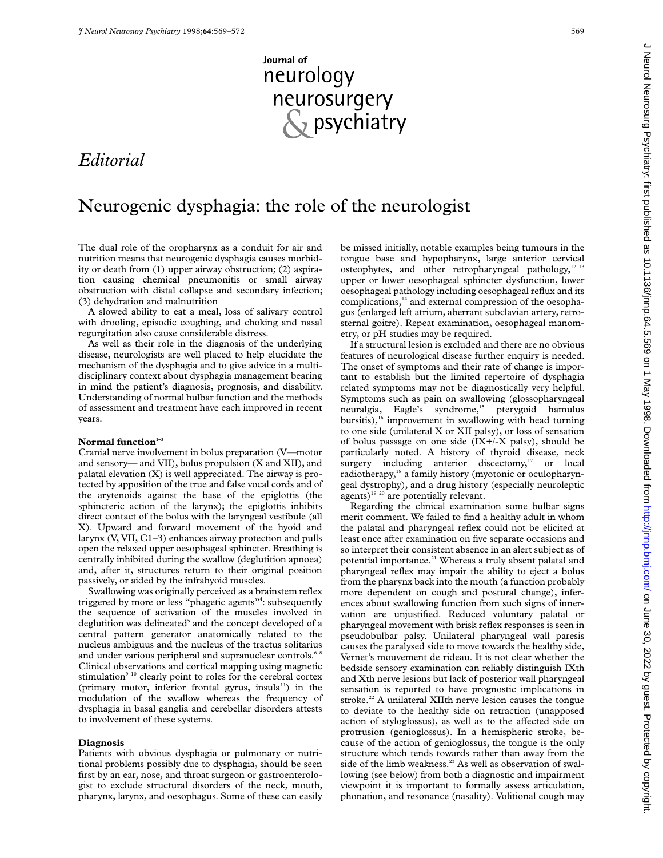# Journal of neurology neurosurgery  $\frac{1}{2}$  psychiatry

## *Editorial*

## Neurogenic dysphagia: the role of the neurologist

The dual role of the oropharynx as a conduit for air and nutrition means that neurogenic dysphagia causes morbidity or death from (1) upper airway obstruction; (2) aspiration causing chemical pneumonitis or small airway obstruction with distal collapse and secondary infection; (3) dehydration and malnutrition

A slowed ability to eat a meal, loss of salivary control with drooling, episodic coughing, and choking and nasal regurgitation also cause considerable distress.

As well as their role in the diagnosis of the underlying disease, neurologists are well placed to help elucidate the mechanism of the dysphagia and to give advice in a multidisciplinary context about dysphagia management bearing in mind the patient's diagnosis, prognosis, and disability. Understanding of normal bulbar function and the methods of assessment and treatment have each improved in recent years.

## Normal function<sup>1-3</sup>

Cranial nerve involvement in bolus preparation (V—motor and sensory— and VII), bolus propulsion (X and XII), and palatal elevation (X) is well appreciated. The airway is protected by apposition of the true and false vocal cords and of the arytenoids against the base of the epiglottis (the sphincteric action of the larynx); the epiglottis inhibits direct contact of the bolus with the laryngeal vestibule (all X). Upward and forward movement of the hyoid and larynx (V, VII, C1–3) enhances airway protection and pulls open the relaxed upper oesophageal sphincter. Breathing is centrally inhibited during the swallow (deglutition apnoea) and, after it, structures return to their original position passively, or aided by the infrahyoid muscles.

Swallowing was originally perceived as a brainstem reflex triggered by more or less "phagetic agents"<sup>4</sup>: subsequently the sequence of activation of the muscles involved in deglutition was delineated<sup>5</sup> and the concept developed of a central pattern generator anatomically related to the nucleus ambiguus and the nucleus of the tractus solitarius and under various peripheral and supranuclear controls.<sup>6-8</sup> Clinical observations and cortical mapping using magnetic stimulation<sup>9 10</sup> clearly point to roles for the cerebral cortex (primary motor, inferior frontal gyrus, insula<sup>11</sup>) in the modulation of the swallow whereas the frequency of dysphagia in basal ganglia and cerebellar disorders attests to involvement of these systems.

### **Diagnosis**

Patients with obvious dysphagia or pulmonary or nutritional problems possibly due to dysphagia, should be seen first by an ear, nose, and throat surgeon or gastroenterologist to exclude structural disorders of the neck, mouth, pharynx, larynx, and oesophagus. Some of these can easily

be missed initially, notable examples being tumours in the tongue base and hypopharynx, large anterior cervical osteophytes, and other retropharyngeal pathology,<sup>12 13</sup> upper or lower oesophageal sphincter dysfunction, lower oesophageal pathology including oesophageal reflux and its complications,<sup>14</sup> and external compression of the oesophagus (enlarged left atrium, aberrant subclavian artery, retrosternal goitre). Repeat examination, oesophageal manometry, or pH studies may be required.

If a structural lesion is excluded and there are no obvious features of neurological disease further enquiry is needed. The onset of symptoms and their rate of change is important to establish but the limited repertoire of dysphagia related symptoms may not be diagnostically very helpful. Symptoms such as pain on swallowing (glossopharyngeal neuralgia, Eagle's syndrome,<sup>15</sup> pterygoid hamulus bursitis), $16$  improvement in swallowing with head turning to one side (unilateral X or XII palsy), or loss of sensation of bolus passage on one side  $(IX+/X)$  palsy), should be particularly noted. A history of thyroid disease, neck surgery including anterior discectomy, $17$  or local radiotherapy,<sup>18</sup> a family history (myotonic or oculopharyngeal dystrophy), and a drug history (especially neuroleptic agents)<sup>19</sup> <sup>20</sup> are potentially relevant.

Regarding the clinical examination some bulbar signs merit comment. We failed to find a healthy adult in whom the palatal and pharyngeal reflex could not be elicited at least once after examination on five separate occasions and so interpret their consistent absence in an alert subject as of potential importance.<sup>21</sup> Whereas a truly absent palatal and pharyngeal reflex may impair the ability to eject a bolus from the pharynx back into the mouth (a function probably more dependent on cough and postural change), inferences about swallowing function from such signs of innervation are unjustified. Reduced voluntary palatal or pharyngeal movement with brisk reflex responses is seen in pseudobulbar palsy. Unilateral pharyngeal wall paresis causes the paralysed side to move towards the healthy side, Vernet's mouvement de rideau. It is not clear whether the bedside sensory examination can reliably distinguish IXth and Xth nerve lesions but lack of posterior wall pharyngeal sensation is reported to have prognostic implications in stroke.<sup>22</sup> A unilateral XIIth nerve lesion causes the tongue to deviate to the healthy side on retraction (unapposed action of styloglossus), as well as to the affected side on protrusion (genioglossus). In a hemispheric stroke, because of the action of genioglossus, the tongue is the only structure which tends towards rather than away from the side of the limb weakness.<sup>23</sup> As well as observation of swallowing (see below) from both a diagnostic and impairment viewpoint it is important to formally assess articulation, phonation, and resonance (nasality). Volitional cough may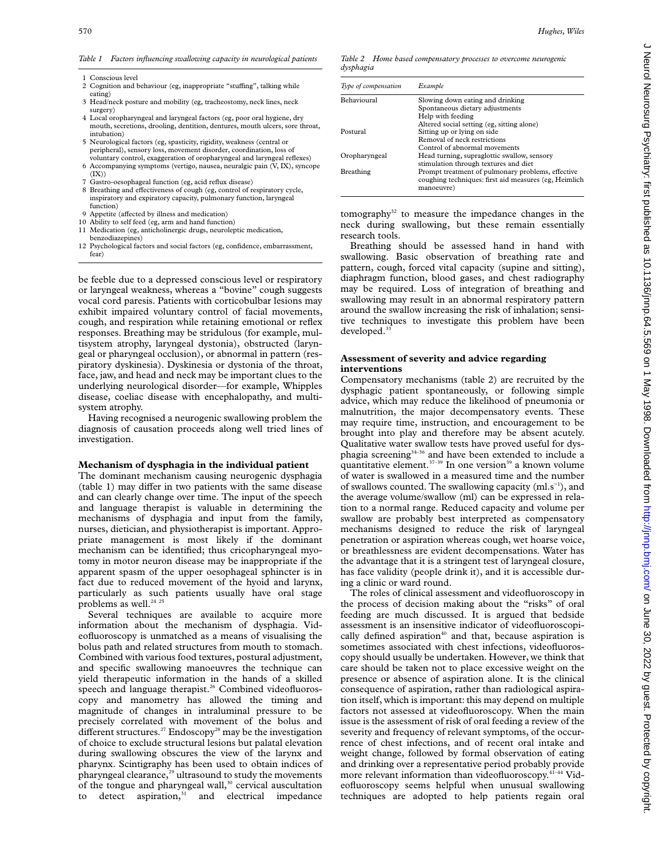*Table 1 Factors influencing swallowing capacity in neurological patients*

| 1 Conscious level<br>2 Cognition and behaviour (eg, inappropriate "stuffing", talking while |
|---------------------------------------------------------------------------------------------|
| eating)<br>3 Head/neck posture and mobility (eg, tracheostomy, neck lines, neck)            |
| surgery)                                                                                    |

- 4 Local oropharyngeal and laryngeal factors (eg, poor oral hygiene, dry mouth, secretions, drooling, dentition, dentures, mouth ulcers, sore throat, intubation)
- 5 Neurological factors (eg, spasticity, rigidity, weakness (central or peripheral), sensory loss, movement disorder, coordination, loss of voluntary control, exaggeration of oropharyngeal and laryngeal reflexes)
- 6 Accompanying symptoms (vertigo, nausea, neuralgic pain (V, IX), syncope  $(IX))$
- 7 Gastro-oesophageal function (eg, acid reflux disease)
- 8 Breathing and effectiveness of cough (eg, control of respiratory cycle, inspiratory and expiratory capacity, pulmonary function, laryngeal function)
- 9 Appetite (affected by illness and medication)
- 10 Ability to self feed (eg, arm and hand function) 11 Medication (eg, anticholinergic drugs, neuroleptic medication,
- benzodiazepines) 12 Psychological factors and social factors (eg, confidence, embarrassment, fear)

be feeble due to a depressed conscious level or respiratory or laryngeal weakness, whereas a "bovine" cough suggests vocal cord paresis. Patients with corticobulbar lesions may exhibit impaired voluntary control of facial movements, cough, and respiration while retaining emotional or reflex responses. Breathing may be stridulous (for example, multisystem atrophy, laryngeal dystonia), obstructed (laryngeal or pharyngeal occlusion), or abnormal in pattern (respiratory dyskinesia). Dyskinesia or dystonia of the throat, face, jaw, and head and neck may be important clues to the underlying neurological disorder—for example, Whipples disease, coeliac disease with encephalopathy, and multisystem atrophy.

Having recognised a neurogenic swallowing problem the diagnosis of causation proceeds along well tried lines of investigation.

### **Mechanism of dysphagia in the individual patient**

The dominant mechanism causing neurogenic dysphagia  $(table 1)$  may differ in two patients with the same disease and can clearly change over time. The input of the speech and language therapist is valuable in determining the mechanisms of dysphagia and input from the family, nurses, dietician, and physiotherapist is important. Appropriate management is most likely if the dominant mechanism can be identified; thus cricopharyngeal myotomy in motor neuron disease may be inappropriate if the apparent spasm of the upper oesophageal sphincter is in fact due to reduced movement of the hyoid and larynx, particularly as such patients usually have oral stage problems as well.<sup>24 25</sup>

Several techniques are available to acquire more information about the mechanism of dysphagia. Videofluoroscopy is unmatched as a means of visualising the bolus path and related structures from mouth to stomach. Combined with various food textures, postural adjustment, and specific swallowing manoeuvres the technique can yield therapeutic information in the hands of a skilled speech and language therapist.<sup>26</sup> Combined videofluoroscopy and manometry has allowed the timing and magnitude of changes in intraluminal pressure to be precisely correlated with movement of the bolus and different structures.<sup>27</sup> Endoscopy<sup>28</sup> may be the investigation of choice to exclude structural lesions but palatal elevation during swallowing obscures the view of the larynx and pharynx. Scintigraphy has been used to obtain indices of pharyngeal clearance, $29$  ultrasound to study the movements of the tongue and pharyngeal wall,<sup>30</sup> cervical auscultation to detect aspiration, $31$  and electrical impedance

#### *Table 2 Home based compensatory processes to overcome neurogenic dysphagia*

| Type of compensation | Example                                                             |
|----------------------|---------------------------------------------------------------------|
| <b>Behavioural</b>   | Slowing down eating and drinking                                    |
|                      | Spontaneous dietary adjustments                                     |
|                      | Help with feeding                                                   |
|                      | Altered social setting (eg, sitting alone)                          |
| Postural             | Sitting up or lying on side                                         |
|                      | Removal of neck restrictions                                        |
|                      | Control of abnormal movements                                       |
| Oropharyngeal        | Head turning, supraglottic swallow, sensory                         |
|                      | stimulation through textures and diet                               |
| Breathing            | Prompt treatment of pulmonary problems, effective                   |
|                      | coughing techniques: first aid measures (eg, Heimlich<br>manoeuvre) |

tomography $32$  to measure the impedance changes in the neck during swallowing, but these remain essentially research tools.

Breathing should be assessed hand in hand with swallowing. Basic observation of breathing rate and pattern, cough, forced vital capacity (supine and sitting), diaphragm function, blood gases, and chest radiography may be required. Loss of integration of breathing and swallowing may result in an abnormal respiratory pattern around the swallow increasing the risk of inhalation; sensitive techniques to investigate this problem have been developed.<sup>3</sup>

## **Assessment of severity and advice regarding interventions**

Compensatory mechanisms (table 2) are recruited by the dysphagic patient spontaneously, or following simple advice, which may reduce the likelihood of pneumonia or malnutrition, the major decompensatory events. These may require time, instruction, and encouragement to be brought into play and therefore may be absent acutely. Qualitative water swallow tests have proved useful for dysphagia screening<sup>34–36</sup> and have been extended to include a quantitative element.<sup>37-39</sup> In one version<sup>39</sup> a known volume of water is swallowed in a measured time and the number of swallows counted. The swallowing capacity (ml.s−1), and the average volume/swallow (ml) can be expressed in relation to a normal range. Reduced capacity and volume per swallow are probably best interpreted as compensatory mechanisms designed to reduce the risk of laryngeal penetration or aspiration whereas cough, wet hoarse voice, or breathlessness are evident decompensations. Water has the advantage that it is a stringent test of laryngeal closure, has face validity (people drink it), and it is accessible during a clinic or ward round.

The roles of clinical assessment and videofluoroscopy in the process of decision making about the "risks" of oral feeding are much discussed. It is argued that bedside assessment is an insensitive indicator of videofluoroscopically defined aspiration<sup>40</sup> and that, because aspiration is sometimes associated with chest infections, videofluoroscopy should usually be undertaken. However, we think that care should be taken not to place excessive weight on the presence or absence of aspiration alone. It is the clinical consequence of aspiration, rather than radiological aspiration itself, which is important: this may depend on multiple factors not assessed at videofluoroscopy. When the main issue is the assessment of risk of oral feeding a review of the severity and frequency of relevant symptoms, of the occurrence of chest infections, and of recent oral intake and weight change, followed by formal observation of eating and drinking over a representative period probably provide more relevant information than videofluoroscopy.41–44 Videofluoroscopy seems helpful when unusual swallowing techniques are adopted to help patients regain oral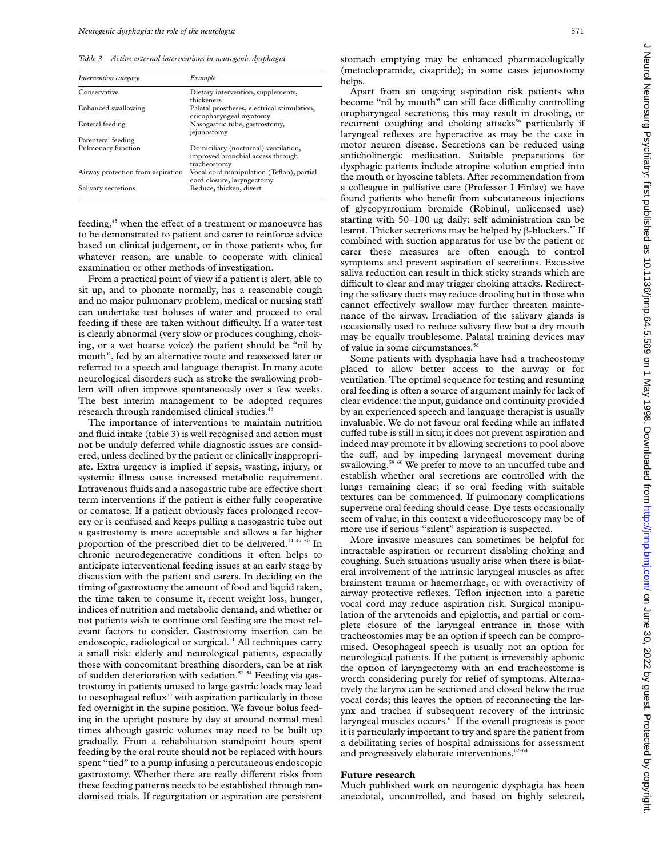*Table 3 Active external interventions in neurogenic dysphagia*

| Intervention category             | Example                                                                                   |
|-----------------------------------|-------------------------------------------------------------------------------------------|
| Conservative                      | Dietary intervention, supplements,<br>thickeners                                          |
| Enhanced swallowing               | Palatal prostheses, electrical stimulation,<br>cricopharyngeal myotomy                    |
| Enteral feeding                   | Nasogastric tube, gastrostomy,<br>iejunostomy                                             |
| Parenteral feeding                |                                                                                           |
| Pulmonary function                | Domiciliary (nocturnal) ventilation,<br>improved bronchial access through<br>tracheostomy |
| Airway protection from aspiration | Vocal cord manipulation (Teflon), partial<br>cord closure, laryngectomy                   |
| Salivary secretions               | Reduce, thicken, divert                                                                   |

feeding,<sup>45</sup> when the effect of a treatment or manoeuvre has to be demonstrated to patient and carer to reinforce advice based on clinical judgement, or in those patients who, for whatever reason, are unable to cooperate with clinical examination or other methods of investigation.

From a practical point of view if a patient is alert, able to sit up, and to phonate normally, has a reasonable cough and no major pulmonary problem, medical or nursing staff can undertake test boluses of water and proceed to oral feeding if these are taken without difficulty. If a water test is clearly abnormal (very slow or produces coughing, choking, or a wet hoarse voice) the patient should be "nil by mouth", fed by an alternative route and reassessed later or referred to a speech and language therapist. In many acute neurological disorders such as stroke the swallowing problem will often improve spontaneously over a few weeks. The best interim management to be adopted requires research through randomised clinical studies.<sup>46</sup>

The importance of interventions to maintain nutrition and fluid intake (table 3) is well recognised and action must not be unduly deferred while diagnostic issues are considered, unless declined by the patient or clinically inappropriate. Extra urgency is implied if sepsis, wasting, injury, or systemic illness cause increased metabolic requirement. Intravenous fluids and a nasogastric tube are effective short term interventions if the patient is either fully cooperative or comatose. If a patient obviously faces prolonged recovery or is confused and keeps pulling a nasogastric tube out a gastrostomy is more acceptable and allows a far higher proportion of the prescribed diet to be delivered.<sup>14 47–50</sup> In chronic neurodegenerative conditions it often helps to anticipate interventional feeding issues at an early stage by discussion with the patient and carers. In deciding on the timing of gastrostomy the amount of food and liquid taken, the time taken to consume it, recent weight loss, hunger, indices of nutrition and metabolic demand, and whether or not patients wish to continue oral feeding are the most relevant factors to consider. Gastrostomy insertion can be endoscopic, radiological or surgical.<sup>51</sup> All techniques carry a small risk: elderly and neurological patients, especially those with concomitant breathing disorders, can be at risk of sudden deterioration with sedation.<sup>52-54</sup> Feeding via gastrostomy in patients unused to large gastric loads may lead to oesophageal reflux<sup>55</sup> with aspiration particularly in those fed overnight in the supine position. We favour bolus feeding in the upright posture by day at around normal meal times although gastric volumes may need to be built up gradually. From a rehabilitation standpoint hours spent feeding by the oral route should not be replaced with hours spent "tied" to a pump infusing a percutaneous endoscopic gastrostomy. Whether there are really different risks from these feeding patterns needs to be established through randomised trials. If regurgitation or aspiration are persistent

stomach emptying may be enhanced pharmacologically (metoclopramide, cisapride); in some cases jejunostomy helps.

Apart from an ongoing aspiration risk patients who become "nil by mouth" can still face difficulty controlling oropharyngeal secretions; this may result in drooling, or recurrent coughing and choking attacks<sup>56</sup> particularly if laryngeal reflexes are hyperactive as may be the case in motor neuron disease. Secretions can be reduced using anticholinergic medication. Suitable preparations for dysphagic patients include atropine solution emptied into the mouth or hyoscine tablets. After recommendation from a colleague in palliative care (Professor I Finlay) we have found patients who benefit from subcutaneous injections of glycopyrronium bromide (Robinul, unlicensed use) starting with 50–100 µg daily: self administration can be learnt. Thicker secretions may be helped by  $\beta$ -blockers.<sup>57</sup> If combined with suction apparatus for use by the patient or carer these measures are often enough to control symptoms and prevent aspiration of secretions. Excessive saliva reduction can result in thick sticky strands which are difficult to clear and may trigger choking attacks. Redirecting the salivary ducts may reduce drooling but in those who cannot effectively swallow may further threaten maintenance of the airway. Irradiation of the salivary glands is occasionally used to reduce salivary flow but a dry mouth may be equally troublesome. Palatal training devices may of value in some circumstances.58

Some patients with dysphagia have had a tracheostomy placed to allow better access to the airway or for ventilation. The optimal sequence for testing and resuming oral feeding is often a source of argument mainly for lack of clear evidence: the input, guidance and continuity provided by an experienced speech and language therapist is usually invaluable. We do not favour oral feeding while an inflated cuffed tube is still in situ; it does not prevent aspiration and indeed may promote it by allowing secretions to pool above the cuff, and by impeding laryngeal movement during swallowing.<sup>59 60</sup> We prefer to move to an uncuffed tube and establish whether oral secretions are controlled with the lungs remaining clear; if so oral feeding with suitable textures can be commenced. If pulmonary complications supervene oral feeding should cease. Dye tests occasionally seem of value; in this context a videofluoroscopy may be of more use if serious "silent" aspiration is suspected.

More invasive measures can sometimes be helpful for intractable aspiration or recurrent disabling choking and coughing. Such situations usually arise when there is bilateral involvement of the intrinsic laryngeal muscles as after brainstem trauma or haemorrhage, or with overactivity of airway protective reflexes. Teflon injection into a paretic vocal cord may reduce aspiration risk. Surgical manipulation of the arytenoids and epiglottis, and partial or complete closure of the laryngeal entrance in those with tracheostomies may be an option if speech can be compromised. Oesophageal speech is usually not an option for neurological patients. If the patient is irreversibly aphonic the option of laryngectomy with an end tracheostome is worth considering purely for relief of symptoms. Alternatively the larynx can be sectioned and closed below the true vocal cords; this leaves the option of reconnecting the larynx and trachea if subsequent recovery of the intrinsic laryngeal muscles occurs.<sup>61</sup> If the overall prognosis is poor it is particularly important to try and spare the patient from a debilitating series of hospital admissions for assessment and progressively elaborate interventions.<sup>62-64</sup>

## **Future research**

Much published work on neurogenic dysphagia has been anecdotal, uncontrolled, and based on highly selected,